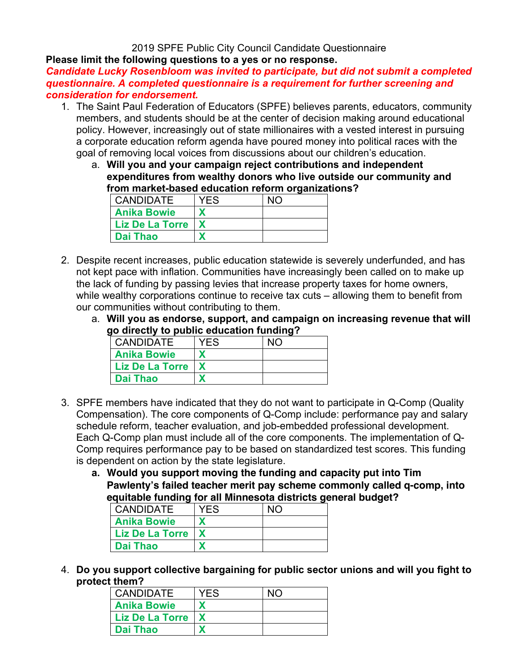2019 SPFE Public City Council Candidate Questionnaire

**Please limit the following questions to a yes or no response.** 

*Candidate Lucky Rosenbloom was invited to participate, but did not submit a completed questionnaire. A completed questionnaire is a requirement for further screening and consideration for endorsement.* 

- 1. The Saint Paul Federation of Educators (SPFE) believes parents, educators, community members, and students should be at the center of decision making around educational policy. However, increasingly out of state millionaires with a vested interest in pursuing a corporate education reform agenda have poured money into political races with the goal of removing local voices from discussions about our children's education.
	- a. **Will you and your campaign reject contributions and independent expenditures from wealthy donors who live outside our community and from market-based education reform organizations?**

| I CANDIDATE            | YFS |  |
|------------------------|-----|--|
| <b>Anika Bowie</b>     |     |  |
| <b>Liz De La Torre</b> |     |  |
| l Dai Thao             |     |  |

- 2. Despite recent increases, public education statewide is severely underfunded, and has not kept pace with inflation. Communities have increasingly been called on to make up the lack of funding by passing levies that increase property taxes for home owners, while wealthy corporations continue to receive tax cuts – allowing them to benefit from our communities without contributing to them.
	- a. **Will you as endorse, support, and campaign on increasing revenue that will go directly to public education funding?**

| <b>CANDIDATE</b>       | YF.S | NIC |
|------------------------|------|-----|
| <b>Anika Bowie</b>     |      |     |
| <b>Liz De La Torre</b> |      |     |
| <b>Dai Thao</b>        |      |     |

- 3. SPFE members have indicated that they do not want to participate in Q-Comp (Quality Compensation). The core components of Q-Comp include: performance pay and salary schedule reform, teacher evaluation, and job-embedded professional development. Each Q-Comp plan must include all of the core components. The implementation of Q-Comp requires performance pay to be based on standardized test scores. This funding is dependent on action by the state legislature.
	- **a. Would you support moving the funding and capacity put into Tim Pawlenty's failed teacher merit pay scheme commonly called q-comp, into equitable funding for all Minnesota districts general budget?**

| <b>CANDIDATE</b>   | YFS |  |
|--------------------|-----|--|
| <b>Anika Bowie</b> |     |  |
| Liz De La Torre    |     |  |
| <b>Dai Thao</b>    |     |  |

4. **Do you support collective bargaining for public sector unions and will you fight to protect them?**

| <b>CANDIDATE</b>       | YFS |  |
|------------------------|-----|--|
| <b>Anika Bowie</b>     |     |  |
| <b>Liz De La Torre</b> |     |  |
| <b>Dai Thao</b>        |     |  |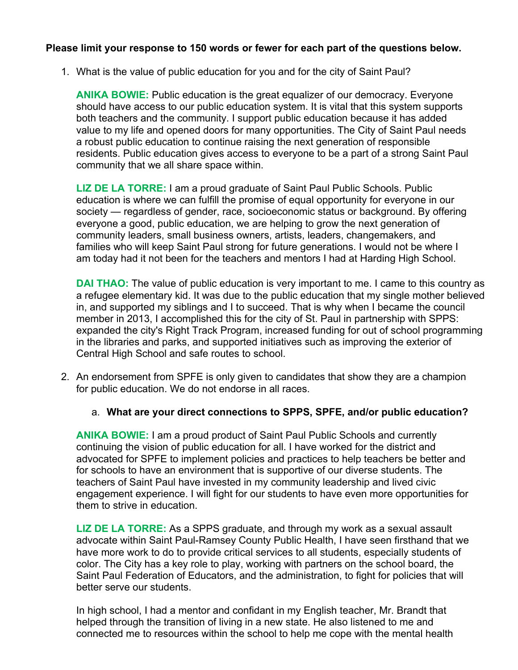# **Please limit your response to 150 words or fewer for each part of the questions below.**

1. What is the value of public education for you and for the city of Saint Paul?

**ANIKA BOWIE:** Public education is the great equalizer of our democracy. Everyone should have access to our public education system. It is vital that this system supports both teachers and the community. I support public education because it has added value to my life and opened doors for many opportunities. The City of Saint Paul needs a robust public education to continue raising the next generation of responsible residents. Public education gives access to everyone to be a part of a strong Saint Paul community that we all share space within.

**LIZ DE LA TORRE:** I am a proud graduate of Saint Paul Public Schools. Public education is where we can fulfill the promise of equal opportunity for everyone in our society — regardless of gender, race, socioeconomic status or background. By offering everyone a good, public education, we are helping to grow the next generation of community leaders, small business owners, artists, leaders, changemakers, and families who will keep Saint Paul strong for future generations. I would not be where I am today had it not been for the teachers and mentors I had at Harding High School.

**DAI THAO:** The value of public education is very important to me. I came to this country as a refugee elementary kid. It was due to the public education that my single mother believed in, and supported my siblings and I to succeed. That is why when I became the council member in 2013, I accomplished this for the city of St. Paul in partnership with SPPS: expanded the city's Right Track Program, increased funding for out of school programming in the libraries and parks, and supported initiatives such as improving the exterior of Central High School and safe routes to school.

- 2. An endorsement from SPFE is only given to candidates that show they are a champion for public education. We do not endorse in all races.
	- a. **What are your direct connections to SPPS, SPFE, and/or public education?**

**ANIKA BOWIE:** I am a proud product of Saint Paul Public Schools and currently continuing the vision of public education for all. I have worked for the district and advocated for SPFE to implement policies and practices to help teachers be better and for schools to have an environment that is supportive of our diverse students. The teachers of Saint Paul have invested in my community leadership and lived civic engagement experience. I will fight for our students to have even more opportunities for them to strive in education.

**LIZ DE LA TORRE:** As a SPPS graduate, and through my work as a sexual assault advocate within Saint Paul-Ramsey County Public Health, I have seen firsthand that we have more work to do to provide critical services to all students, especially students of color. The City has a key role to play, working with partners on the school board, the Saint Paul Federation of Educators, and the administration, to fight for policies that will better serve our students.

In high school, I had a mentor and confidant in my English teacher, Mr. Brandt that helped through the transition of living in a new state. He also listened to me and connected me to resources within the school to help me cope with the mental health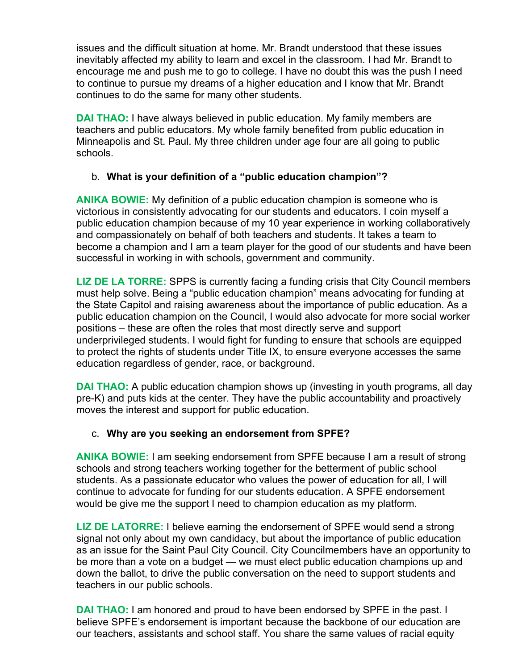issues and the difficult situation at home. Mr. Brandt understood that these issues inevitably affected my ability to learn and excel in the classroom. I had Mr. Brandt to encourage me and push me to go to college. I have no doubt this was the push I need to continue to pursue my dreams of a higher education and I know that Mr. Brandt continues to do the same for many other students.

**DAI THAO:** I have always believed in public education. My family members are teachers and public educators. My whole family benefited from public education in Minneapolis and St. Paul. My three children under age four are all going to public schools.

# b. **What is your definition of a "public education champion"?**

**ANIKA BOWIE:** My definition of a public education champion is someone who is victorious in consistently advocating for our students and educators. I coin myself a public education champion because of my 10 year experience in working collaboratively and compassionately on behalf of both teachers and students. It takes a team to become a champion and I am a team player for the good of our students and have been successful in working in with schools, government and community.

**LIZ DE LA TORRE:** SPPS is currently facing a funding crisis that City Council members must help solve. Being a "public education champion" means advocating for funding at the State Capitol and raising awareness about the importance of public education. As a public education champion on the Council, I would also advocate for more social worker positions – these are often the roles that most directly serve and support underprivileged students. I would fight for funding to ensure that schools are equipped to protect the rights of students under Title IX, to ensure everyone accesses the same education regardless of gender, race, or background.

**DAI THAO:** A public education champion shows up (investing in youth programs, all day pre-K) and puts kids at the center. They have the public accountability and proactively moves the interest and support for public education.

# c. **Why are you seeking an endorsement from SPFE?**

**ANIKA BOWIE:** I am seeking endorsement from SPFE because I am a result of strong schools and strong teachers working together for the betterment of public school students. As a passionate educator who values the power of education for all, I will continue to advocate for funding for our students education. A SPFE endorsement would be give me the support I need to champion education as my platform.

**LIZ DE LATORRE:** I believe earning the endorsement of SPFE would send a strong signal not only about my own candidacy, but about the importance of public education as an issue for the Saint Paul City Council. City Councilmembers have an opportunity to be more than a vote on a budget — we must elect public education champions up and down the ballot, to drive the public conversation on the need to support students and teachers in our public schools.

**DAI THAO:** I am honored and proud to have been endorsed by SPFE in the past. I believe SPFE's endorsement is important because the backbone of our education are our teachers, assistants and school staff. You share the same values of racial equity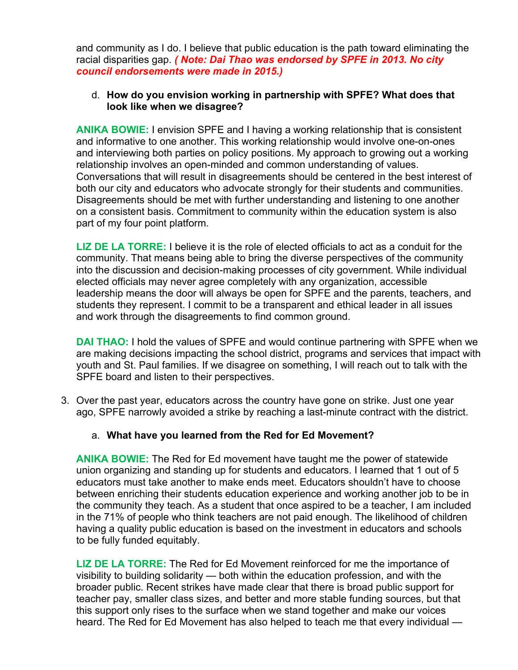and community as I do. I believe that public education is the path toward eliminating the racial disparities gap. *( Note: Dai Thao was endorsed by SPFE in 2013. No city council endorsements were made in 2015.)*

# d. **How do you envision working in partnership with SPFE? What does that look like when we disagree?**

**ANIKA BOWIE:** I envision SPFE and I having a working relationship that is consistent and informative to one another. This working relationship would involve one-on-ones and interviewing both parties on policy positions. My approach to growing out a working relationship involves an open-minded and common understanding of values. Conversations that will result in disagreements should be centered in the best interest of both our city and educators who advocate strongly for their students and communities. Disagreements should be met with further understanding and listening to one another on a consistent basis. Commitment to community within the education system is also part of my four point platform.

**LIZ DE LA TORRE:** I believe it is the role of elected officials to act as a conduit for the community. That means being able to bring the diverse perspectives of the community into the discussion and decision-making processes of city government. While individual elected officials may never agree completely with any organization, accessible leadership means the door will always be open for SPFE and the parents, teachers, and students they represent. I commit to be a transparent and ethical leader in all issues and work through the disagreements to find common ground.

**DAI THAO:** I hold the values of SPFE and would continue partnering with SPFE when we are making decisions impacting the school district, programs and services that impact with youth and St. Paul families. If we disagree on something, I will reach out to talk with the SPFE board and listen to their perspectives.

3. Over the past year, educators across the country have gone on strike. Just one year ago, SPFE narrowly avoided a strike by reaching a last-minute contract with the district.

# a. **What have you learned from the Red for Ed Movement?**

**ANIKA BOWIE:** The Red for Ed movement have taught me the power of statewide union organizing and standing up for students and educators. I learned that 1 out of 5 educators must take another to make ends meet. Educators shouldn't have to choose between enriching their students education experience and working another job to be in the community they teach. As a student that once aspired to be a teacher, I am included in the 71% of people who think teachers are not paid enough. The likelihood of children having a quality public education is based on the investment in educators and schools to be fully funded equitably.

**LIZ DE LA TORRE:** The Red for Ed Movement reinforced for me the importance of visibility to building solidarity — both within the education profession, and with the broader public. Recent strikes have made clear that there is broad public support for teacher pay, smaller class sizes, and better and more stable funding sources, but that this support only rises to the surface when we stand together and make our voices heard. The Red for Ed Movement has also helped to teach me that every individual —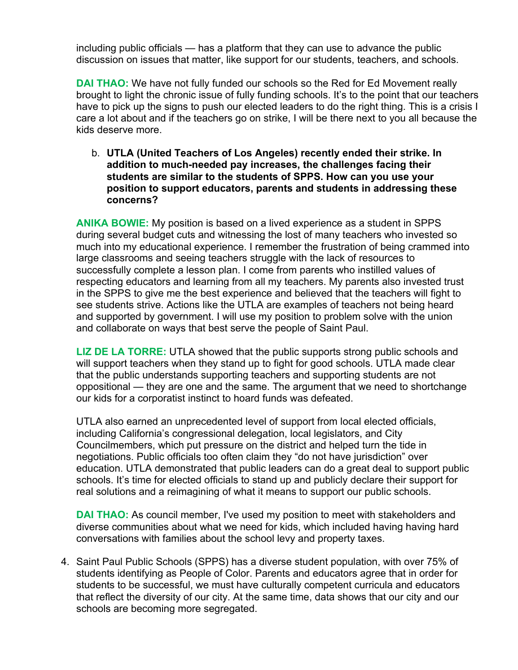including public officials — has a platform that they can use to advance the public discussion on issues that matter, like support for our students, teachers, and schools.

**DAI THAO:** We have not fully funded our schools so the Red for Ed Movement really brought to light the chronic issue of fully funding schools. It's to the point that our teachers have to pick up the signs to push our elected leaders to do the right thing. This is a crisis I care a lot about and if the teachers go on strike, I will be there next to you all because the kids deserve more.

b. **UTLA (United Teachers of Los Angeles) recently ended their strike. In addition to much-needed pay increases, the challenges facing their students are similar to the students of SPPS. How can you use your position to support educators, parents and students in addressing these concerns?**

**ANIKA BOWIE:** My position is based on a lived experience as a student in SPPS during several budget cuts and witnessing the lost of many teachers who invested so much into my educational experience. I remember the frustration of being crammed into large classrooms and seeing teachers struggle with the lack of resources to successfully complete a lesson plan. I come from parents who instilled values of respecting educators and learning from all my teachers. My parents also invested trust in the SPPS to give me the best experience and believed that the teachers will fight to see students strive. Actions like the UTLA are examples of teachers not being heard and supported by government. I will use my position to problem solve with the union and collaborate on ways that best serve the people of Saint Paul.

**LIZ DE LA TORRE:** UTLA showed that the public supports strong public schools and will support teachers when they stand up to fight for good schools. UTLA made clear that the public understands supporting teachers and supporting students are not oppositional — they are one and the same. The argument that we need to shortchange our kids for a corporatist instinct to hoard funds was defeated.

UTLA also earned an unprecedented level of support from local elected officials, including California's congressional delegation, local legislators, and City Councilmembers, which put pressure on the district and helped turn the tide in negotiations. Public officials too often claim they "do not have jurisdiction" over education. UTLA demonstrated that public leaders can do a great deal to support public schools. It's time for elected officials to stand up and publicly declare their support for real solutions and a reimagining of what it means to support our public schools.

**DAI THAO:** As council member, I've used my position to meet with stakeholders and diverse communities about what we need for kids, which included having having hard conversations with families about the school levy and property taxes.

4. Saint Paul Public Schools (SPPS) has a diverse student population, with over 75% of students identifying as People of Color. Parents and educators agree that in order for students to be successful, we must have culturally competent curricula and educators that reflect the diversity of our city. At the same time, data shows that our city and our schools are becoming more segregated.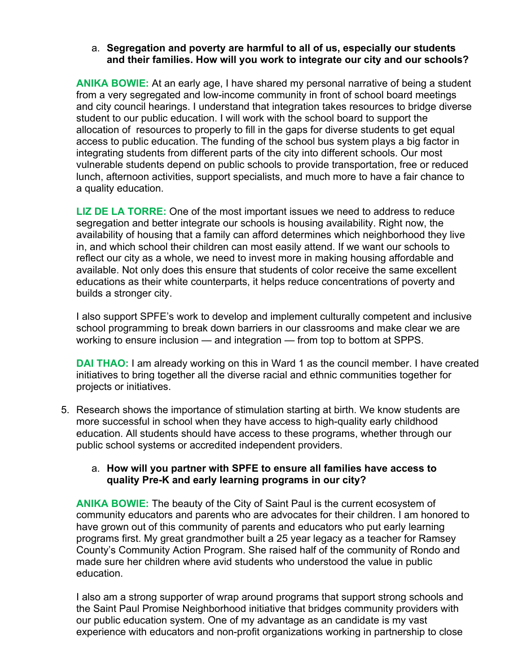# a. **Segregation and poverty are harmful to all of us, especially our students and their families. How will you work to integrate our city and our schools?**

**ANIKA BOWIE:** At an early age, I have shared my personal narrative of being a student from a very segregated and low-income community in front of school board meetings and city council hearings. I understand that integration takes resources to bridge diverse student to our public education. I will work with the school board to support the allocation of resources to properly to fill in the gaps for diverse students to get equal access to public education. The funding of the school bus system plays a big factor in integrating students from different parts of the city into different schools. Our most vulnerable students depend on public schools to provide transportation, free or reduced lunch, afternoon activities, support specialists, and much more to have a fair chance to a quality education.

**LIZ DE LA TORRE:** One of the most important issues we need to address to reduce segregation and better integrate our schools is housing availability. Right now, the availability of housing that a family can afford determines which neighborhood they live in, and which school their children can most easily attend. If we want our schools to reflect our city as a whole, we need to invest more in making housing affordable and available. Not only does this ensure that students of color receive the same excellent educations as their white counterparts, it helps reduce concentrations of poverty and builds a stronger city.

I also support SPFE's work to develop and implement culturally competent and inclusive school programming to break down barriers in our classrooms and make clear we are working to ensure inclusion — and integration — from top to bottom at SPPS.

**DAI THAO:** I am already working on this in Ward 1 as the council member. I have created initiatives to bring together all the diverse racial and ethnic communities together for projects or initiatives.

5. Research shows the importance of stimulation starting at birth. We know students are more successful in school when they have access to high-quality early childhood education. All students should have access to these programs, whether through our public school systems or accredited independent providers.

#### a. **How will you partner with SPFE to ensure all families have access to quality Pre-K and early learning programs in our city?**

**ANIKA BOWIE:** The beauty of the City of Saint Paul is the current ecosystem of community educators and parents who are advocates for their children. I am honored to have grown out of this community of parents and educators who put early learning programs first. My great grandmother built a 25 year legacy as a teacher for Ramsey County's Community Action Program. She raised half of the community of Rondo and made sure her children where avid students who understood the value in public education.

I also am a strong supporter of wrap around programs that support strong schools and the Saint Paul Promise Neighborhood initiative that bridges community providers with our public education system. One of my advantage as an candidate is my vast experience with educators and non-profit organizations working in partnership to close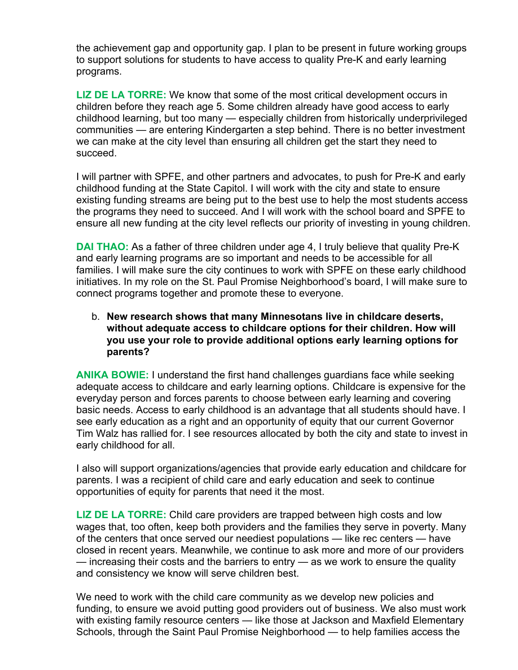the achievement gap and opportunity gap. I plan to be present in future working groups to support solutions for students to have access to quality Pre-K and early learning programs.

**LIZ DE LA TORRE:** We know that some of the most critical development occurs in children before they reach age 5. Some children already have good access to early childhood learning, but too many — especially children from historically underprivileged communities — are entering Kindergarten a step behind. There is no better investment we can make at the city level than ensuring all children get the start they need to succeed.

I will partner with SPFE, and other partners and advocates, to push for Pre-K and early childhood funding at the State Capitol. I will work with the city and state to ensure existing funding streams are being put to the best use to help the most students access the programs they need to succeed. And I will work with the school board and SPFE to ensure all new funding at the city level reflects our priority of investing in young children.

**DAI THAO:** As a father of three children under age 4, I truly believe that quality Pre-K and early learning programs are so important and needs to be accessible for all families. I will make sure the city continues to work with SPFE on these early childhood initiatives. In my role on the St. Paul Promise Neighborhood's board, I will make sure to connect programs together and promote these to everyone.

b. **New research shows that many Minnesotans live in childcare deserts, without adequate access to childcare options for their children. How will you use your role to provide additional options early learning options for parents?**

**ANIKA BOWIE:** I understand the first hand challenges guardians face while seeking adequate access to childcare and early learning options. Childcare is expensive for the everyday person and forces parents to choose between early learning and covering basic needs. Access to early childhood is an advantage that all students should have. I see early education as a right and an opportunity of equity that our current Governor Tim Walz has rallied for. I see resources allocated by both the city and state to invest in early childhood for all.

I also will support organizations/agencies that provide early education and childcare for parents. I was a recipient of child care and early education and seek to continue opportunities of equity for parents that need it the most.

**LIZ DE LA TORRE:** Child care providers are trapped between high costs and low wages that, too often, keep both providers and the families they serve in poverty. Many of the centers that once served our neediest populations — like rec centers — have closed in recent years. Meanwhile, we continue to ask more and more of our providers — increasing their costs and the barriers to entry — as we work to ensure the quality and consistency we know will serve children best.

We need to work with the child care community as we develop new policies and funding, to ensure we avoid putting good providers out of business. We also must work with existing family resource centers — like those at Jackson and Maxfield Elementary Schools, through the Saint Paul Promise Neighborhood — to help families access the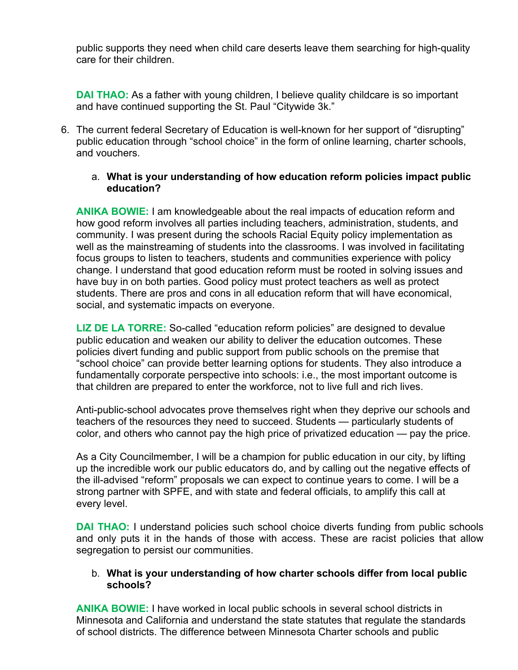public supports they need when child care deserts leave them searching for high-quality care for their children.

**DAI THAO:** As a father with young children, I believe quality childcare is so important and have continued supporting the St. Paul "Citywide 3k."

6. The current federal Secretary of Education is well-known for her support of "disrupting" public education through "school choice" in the form of online learning, charter schools, and vouchers.

# a. **What is your understanding of how education reform policies impact public education?**

**ANIKA BOWIE:** I am knowledgeable about the real impacts of education reform and how good reform involves all parties including teachers, administration, students, and community. I was present during the schools Racial Equity policy implementation as well as the mainstreaming of students into the classrooms. I was involved in facilitating focus groups to listen to teachers, students and communities experience with policy change. I understand that good education reform must be rooted in solving issues and have buy in on both parties. Good policy must protect teachers as well as protect students. There are pros and cons in all education reform that will have economical, social, and systematic impacts on everyone.

**LIZ DE LA TORRE:** So-called "education reform policies" are designed to devalue public education and weaken our ability to deliver the education outcomes. These policies divert funding and public support from public schools on the premise that "school choice" can provide better learning options for students. They also introduce a fundamentally corporate perspective into schools: i.e., the most important outcome is that children are prepared to enter the workforce, not to live full and rich lives.

Anti-public-school advocates prove themselves right when they deprive our schools and teachers of the resources they need to succeed. Students — particularly students of color, and others who cannot pay the high price of privatized education — pay the price.

As a City Councilmember, I will be a champion for public education in our city, by lifting up the incredible work our public educators do, and by calling out the negative effects of the ill-advised "reform" proposals we can expect to continue years to come. I will be a strong partner with SPFE, and with state and federal officials, to amplify this call at every level.

**DAI THAO:** I understand policies such school choice diverts funding from public schools and only puts it in the hands of those with access. These are racist policies that allow segregation to persist our communities.

# b. **What is your understanding of how charter schools differ from local public schools?**

**ANIKA BOWIE:** I have worked in local public schools in several school districts in Minnesota and California and understand the state statutes that regulate the standards of school districts. The difference between Minnesota Charter schools and public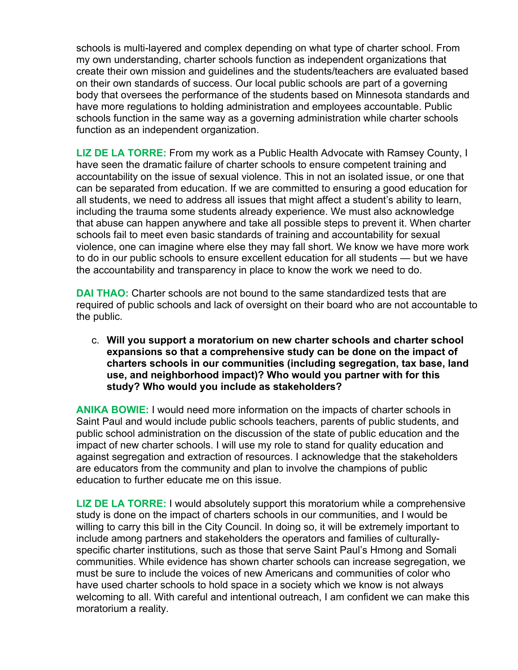schools is multi-layered and complex depending on what type of charter school. From my own understanding, charter schools function as independent organizations that create their own mission and guidelines and the students/teachers are evaluated based on their own standards of success. Our local public schools are part of a governing body that oversees the performance of the students based on Minnesota standards and have more regulations to holding administration and employees accountable. Public schools function in the same way as a governing administration while charter schools function as an independent organization.

**LIZ DE LA TORRE:** From my work as a Public Health Advocate with Ramsey County, I have seen the dramatic failure of charter schools to ensure competent training and accountability on the issue of sexual violence. This in not an isolated issue, or one that can be separated from education. If we are committed to ensuring a good education for all students, we need to address all issues that might affect a student's ability to learn, including the trauma some students already experience. We must also acknowledge that abuse can happen anywhere and take all possible steps to prevent it. When charter schools fail to meet even basic standards of training and accountability for sexual violence, one can imagine where else they may fall short. We know we have more work to do in our public schools to ensure excellent education for all students — but we have the accountability and transparency in place to know the work we need to do.

**DAI THAO:** Charter schools are not bound to the same standardized tests that are required of public schools and lack of oversight on their board who are not accountable to the public.

c. **Will you support a moratorium on new charter schools and charter school expansions so that a comprehensive study can be done on the impact of charters schools in our communities (including segregation, tax base, land use, and neighborhood impact)? Who would you partner with for this study? Who would you include as stakeholders?**

**ANIKA BOWIE:** I would need more information on the impacts of charter schools in Saint Paul and would include public schools teachers, parents of public students, and public school administration on the discussion of the state of public education and the impact of new charter schools. I will use my role to stand for quality education and against segregation and extraction of resources. I acknowledge that the stakeholders are educators from the community and plan to involve the champions of public education to further educate me on this issue.

**LIZ DE LA TORRE:** I would absolutely support this moratorium while a comprehensive study is done on the impact of charters schools in our communities, and I would be willing to carry this bill in the City Council. In doing so, it will be extremely important to include among partners and stakeholders the operators and families of culturallyspecific charter institutions, such as those that serve Saint Paul's Hmong and Somali communities. While evidence has shown charter schools can increase segregation, we must be sure to include the voices of new Americans and communities of color who have used charter schools to hold space in a society which we know is not always welcoming to all. With careful and intentional outreach, I am confident we can make this moratorium a reality.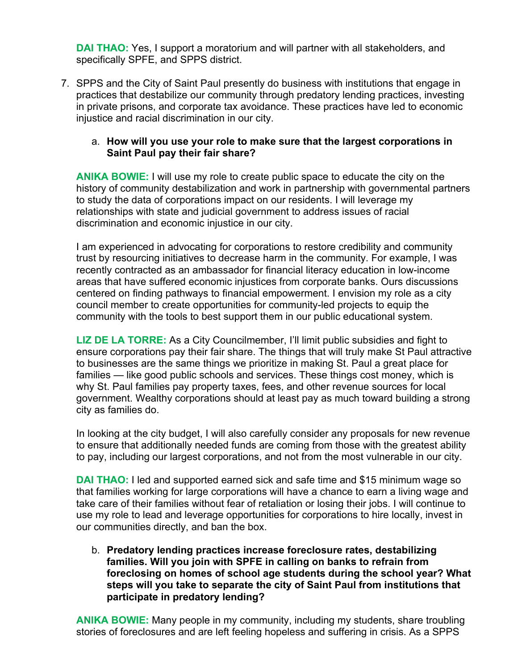**DAI THAO:** Yes, I support a moratorium and will partner with all stakeholders, and specifically SPFE, and SPPS district.

7. SPPS and the City of Saint Paul presently do business with institutions that engage in practices that destabilize our community through predatory lending practices, investing in private prisons, and corporate tax avoidance. These practices have led to economic injustice and racial discrimination in our city.

# a. **How will you use your role to make sure that the largest corporations in Saint Paul pay their fair share?**

**ANIKA BOWIE:** I will use my role to create public space to educate the city on the history of community destabilization and work in partnership with governmental partners to study the data of corporations impact on our residents. I will leverage my relationships with state and judicial government to address issues of racial discrimination and economic injustice in our city.

I am experienced in advocating for corporations to restore credibility and community trust by resourcing initiatives to decrease harm in the community. For example, I was recently contracted as an ambassador for financial literacy education in low-income areas that have suffered economic injustices from corporate banks. Ours discussions centered on finding pathways to financial empowerment. I envision my role as a city council member to create opportunities for community-led projects to equip the community with the tools to best support them in our public educational system.

**LIZ DE LA TORRE:** As a City Councilmember, I'll limit public subsidies and fight to ensure corporations pay their fair share. The things that will truly make St Paul attractive to businesses are the same things we prioritize in making St. Paul a great place for families — like good public schools and services. These things cost money, which is why St. Paul families pay property taxes, fees, and other revenue sources for local government. Wealthy corporations should at least pay as much toward building a strong city as families do.

In looking at the city budget, I will also carefully consider any proposals for new revenue to ensure that additionally needed funds are coming from those with the greatest ability to pay, including our largest corporations, and not from the most vulnerable in our city.

**DAI THAO:** I led and supported earned sick and safe time and \$15 minimum wage so that families working for large corporations will have a chance to earn a living wage and take care of their families without fear of retaliation or losing their jobs. I will continue to use my role to lead and leverage opportunities for corporations to hire locally, invest in our communities directly, and ban the box.

b. **Predatory lending practices increase foreclosure rates, destabilizing families. Will you join with SPFE in calling on banks to refrain from foreclosing on homes of school age students during the school year? What steps will you take to separate the city of Saint Paul from institutions that participate in predatory lending?**

**ANIKA BOWIE:** Many people in my community, including my students, share troubling stories of foreclosures and are left feeling hopeless and suffering in crisis. As a SPPS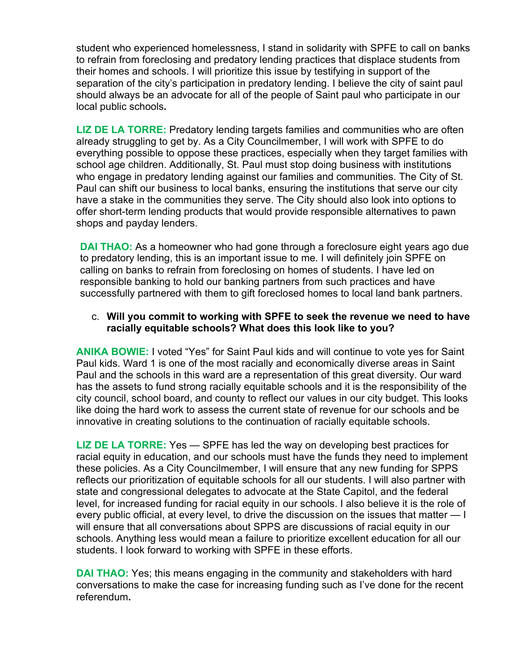student who experienced homelessness, I stand in solidarity with SPFE to call on banks to refrain from foreclosing and predatory lending practices that displace students from their homes and schools. I will prioritize this issue by testifying in support of the separation of the city's participation in predatory lending. I believe the city of saint paul should always be an advocate for all of the people of Saint paul who participate in our local public schools**.**

**LIZ DE LA TORRE:** Predatory lending targets families and communities who are often already struggling to get by. As a City Councilmember, I will work with SPFE to do everything possible to oppose these practices, especially when they target families with school age children. Additionally, St. Paul must stop doing business with institutions who engage in predatory lending against our families and communities. The City of St. Paul can shift our business to local banks, ensuring the institutions that serve our city have a stake in the communities they serve. The City should also look into options to offer short-term lending products that would provide responsible alternatives to pawn shops and payday lenders.

**DAI THAO:** As a homeowner who had gone through a foreclosure eight years ago due to predatory lending, this is an important issue to me. I will definitely join SPFE on calling on banks to refrain from foreclosing on homes of students. I have led on responsible banking to hold our banking partners from such practices and have successfully partnered with them to gift foreclosed homes to local land bank partners.

### c. **Will you commit to working with SPFE to seek the revenue we need to have racially equitable schools? What does this look like to you?**

**ANIKA BOWIE:** I voted "Yes" for Saint Paul kids and will continue to vote yes for Saint Paul kids. Ward 1 is one of the most racially and economically diverse areas in Saint Paul and the schools in this ward are a representation of this great diversity. Our ward has the assets to fund strong racially equitable schools and it is the responsibility of the city council, school board, and county to reflect our values in our city budget. This looks like doing the hard work to assess the current state of revenue for our schools and be innovative in creating solutions to the continuation of racially equitable schools.

**LIZ DE LA TORRE:** Yes — SPFE has led the way on developing best practices for racial equity in education, and our schools must have the funds they need to implement these policies. As a City Councilmember, I will ensure that any new funding for SPPS reflects our prioritization of equitable schools for all our students. I will also partner with state and congressional delegates to advocate at the State Capitol, and the federal level, for increased funding for racial equity in our schools. I also believe it is the role of every public official, at every level, to drive the discussion on the issues that matter — I will ensure that all conversations about SPPS are discussions of racial equity in our schools. Anything less would mean a failure to prioritize excellent education for all our students. I look forward to working with SPFE in these efforts.

**DAI THAO:** Yes; this means engaging in the community and stakeholders with hard conversations to make the case for increasing funding such as I've done for the recent referendum**.**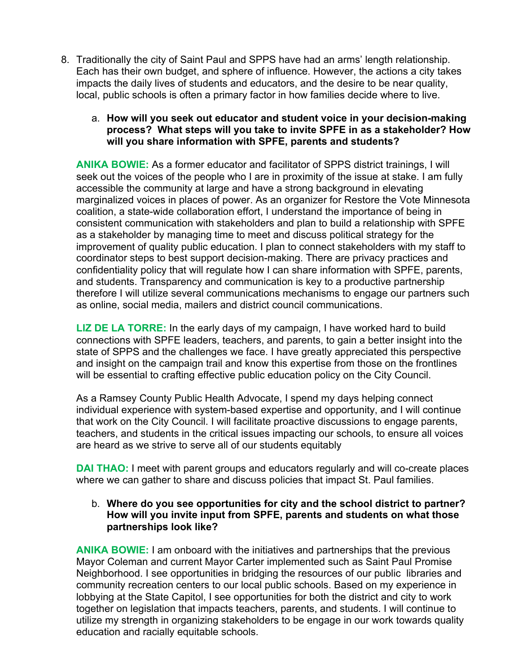8. Traditionally the city of Saint Paul and SPPS have had an arms' length relationship. Each has their own budget, and sphere of influence. However, the actions a city takes impacts the daily lives of students and educators, and the desire to be near quality, local, public schools is often a primary factor in how families decide where to live.

### a. **How will you seek out educator and student voice in your decision-making process? What steps will you take to invite SPFE in as a stakeholder? How will you share information with SPFE, parents and students?**

**ANIKA BOWIE:** As a former educator and facilitator of SPPS district trainings, I will seek out the voices of the people who I are in proximity of the issue at stake. I am fully accessible the community at large and have a strong background in elevating marginalized voices in places of power. As an organizer for Restore the Vote Minnesota coalition, a state-wide collaboration effort, I understand the importance of being in consistent communication with stakeholders and plan to build a relationship with SPFE as a stakeholder by managing time to meet and discuss political strategy for the improvement of quality public education. I plan to connect stakeholders with my staff to coordinator steps to best support decision-making. There are privacy practices and confidentiality policy that will regulate how I can share information with SPFE, parents, and students. Transparency and communication is key to a productive partnership therefore I will utilize several communications mechanisms to engage our partners such as online, social media, mailers and district council communications.

**LIZ DE LA TORRE:** In the early days of my campaign, I have worked hard to build connections with SPFE leaders, teachers, and parents, to gain a better insight into the state of SPPS and the challenges we face. I have greatly appreciated this perspective and insight on the campaign trail and know this expertise from those on the frontlines will be essential to crafting effective public education policy on the City Council.

As a Ramsey County Public Health Advocate, I spend my days helping connect individual experience with system-based expertise and opportunity, and I will continue that work on the City Council. I will facilitate proactive discussions to engage parents, teachers, and students in the critical issues impacting our schools, to ensure all voices are heard as we strive to serve all of our students equitably

**DAI THAO:** I meet with parent groups and educators regularly and will co-create places where we can gather to share and discuss policies that impact St. Paul families.

# b. **Where do you see opportunities for city and the school district to partner? How will you invite input from SPFE, parents and students on what those partnerships look like?**

**ANIKA BOWIE:** I am onboard with the initiatives and partnerships that the previous Mayor Coleman and current Mayor Carter implemented such as Saint Paul Promise Neighborhood. I see opportunities in bridging the resources of our public libraries and community recreation centers to our local public schools. Based on my experience in lobbying at the State Capitol, I see opportunities for both the district and city to work together on legislation that impacts teachers, parents, and students. I will continue to utilize my strength in organizing stakeholders to be engage in our work towards quality education and racially equitable schools.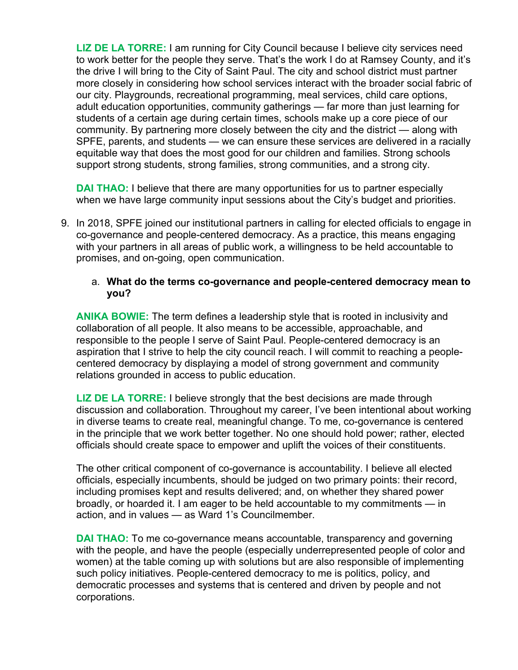**LIZ DE LA TORRE:** I am running for City Council because I believe city services need to work better for the people they serve. That's the work I do at Ramsey County, and it's the drive I will bring to the City of Saint Paul. The city and school district must partner more closely in considering how school services interact with the broader social fabric of our city. Playgrounds, recreational programming, meal services, child care options, adult education opportunities, community gatherings — far more than just learning for students of a certain age during certain times, schools make up a core piece of our community. By partnering more closely between the city and the district — along with SPFE, parents, and students — we can ensure these services are delivered in a racially equitable way that does the most good for our children and families. Strong schools support strong students, strong families, strong communities, and a strong city.

**DAI THAO:** I believe that there are many opportunities for us to partner especially when we have large community input sessions about the City's budget and priorities.

9. In 2018, SPFE joined our institutional partners in calling for elected officials to engage in co-governance and people-centered democracy. As a practice, this means engaging with your partners in all areas of public work, a willingness to be held accountable to promises, and on-going, open communication.

# a. **What do the terms co-governance and people-centered democracy mean to you?**

**ANIKA BOWIE:** The term defines a leadership style that is rooted in inclusivity and collaboration of all people. It also means to be accessible, approachable, and responsible to the people I serve of Saint Paul. People-centered democracy is an aspiration that I strive to help the city council reach. I will commit to reaching a peoplecentered democracy by displaying a model of strong government and community relations grounded in access to public education.

**LIZ DE LA TORRE:** I believe strongly that the best decisions are made through discussion and collaboration. Throughout my career, I've been intentional about working in diverse teams to create real, meaningful change. To me, co-governance is centered in the principle that we work better together. No one should hold power; rather, elected officials should create space to empower and uplift the voices of their constituents.

The other critical component of co-governance is accountability. I believe all elected officials, especially incumbents, should be judged on two primary points: their record, including promises kept and results delivered; and, on whether they shared power broadly, or hoarded it. I am eager to be held accountable to my commitments — in action, and in values — as Ward 1's Councilmember.

**DAI THAO:** To me co-governance means accountable, transparency and governing with the people, and have the people (especially underrepresented people of color and women) at the table coming up with solutions but are also responsible of implementing such policy initiatives. People-centered democracy to me is politics, policy, and democratic processes and systems that is centered and driven by people and not corporations.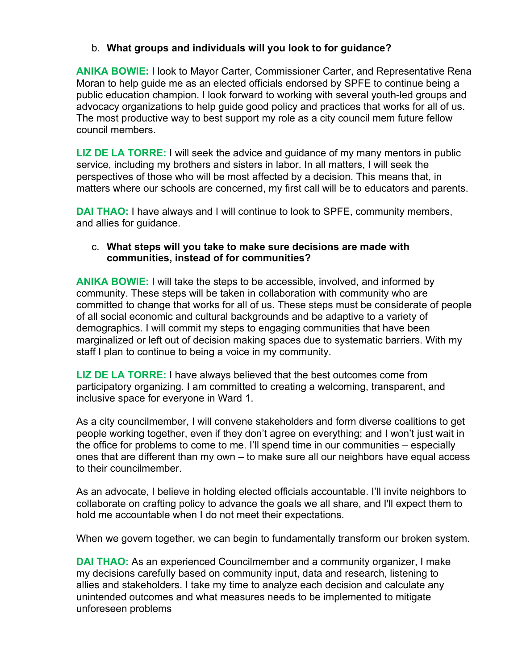# b. **What groups and individuals will you look to for guidance?**

**ANIKA BOWIE:** I look to Mayor Carter, Commissioner Carter, and Representative Rena Moran to help guide me as an elected officials endorsed by SPFE to continue being a public education champion. I look forward to working with several youth-led groups and advocacy organizations to help guide good policy and practices that works for all of us. The most productive way to best support my role as a city council mem future fellow council members.

**LIZ DE LA TORRE:** I will seek the advice and guidance of my many mentors in public service, including my brothers and sisters in labor. In all matters, I will seek the perspectives of those who will be most affected by a decision. This means that, in matters where our schools are concerned, my first call will be to educators and parents.

**DAI THAO:** I have always and I will continue to look to SPFE, community members, and allies for guidance.

# c. **What steps will you take to make sure decisions are made with communities, instead of for communities?**

**ANIKA BOWIE:** I will take the steps to be accessible, involved, and informed by community. These steps will be taken in collaboration with community who are committed to change that works for all of us. These steps must be considerate of people of all social economic and cultural backgrounds and be adaptive to a variety of demographics. I will commit my steps to engaging communities that have been marginalized or left out of decision making spaces due to systematic barriers. With my staff I plan to continue to being a voice in my community.

**LIZ DE LA TORRE:** I have always believed that the best outcomes come from participatory organizing. I am committed to creating a welcoming, transparent, and inclusive space for everyone in Ward 1.

As a city councilmember, I will convene stakeholders and form diverse coalitions to get people working together, even if they don't agree on everything; and I won't just wait in the office for problems to come to me. I'll spend time in our communities – especially ones that are different than my own – to make sure all our neighbors have equal access to their councilmember.

As an advocate, I believe in holding elected officials accountable. I'll invite neighbors to collaborate on crafting policy to advance the goals we all share, and I'll expect them to hold me accountable when I do not meet their expectations.

When we govern together, we can begin to fundamentally transform our broken system.

**DAI THAO:** As an experienced Councilmember and a community organizer, I make my decisions carefully based on community input, data and research, listening to allies and stakeholders. I take my time to analyze each decision and calculate any unintended outcomes and what measures needs to be implemented to mitigate unforeseen problems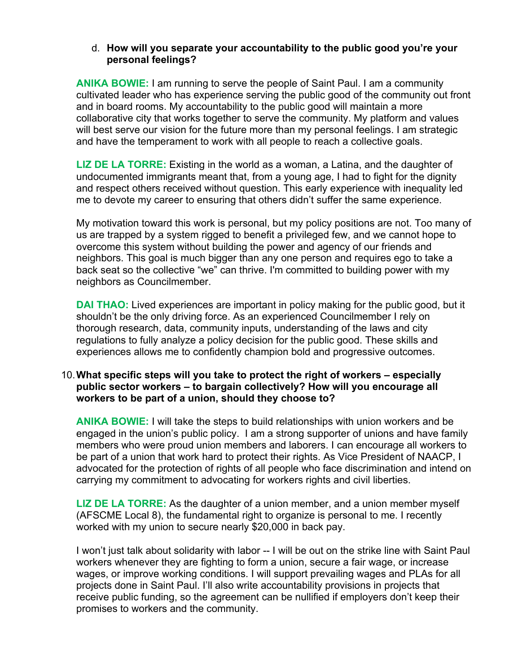# d. **How will you separate your accountability to the public good you're your personal feelings?**

**ANIKA BOWIE:** I am running to serve the people of Saint Paul. I am a community cultivated leader who has experience serving the public good of the community out front and in board rooms. My accountability to the public good will maintain a more collaborative city that works together to serve the community. My platform and values will best serve our vision for the future more than my personal feelings. I am strategic and have the temperament to work with all people to reach a collective goals.

**LIZ DE LA TORRE:** Existing in the world as a woman, a Latina, and the daughter of undocumented immigrants meant that, from a young age, I had to fight for the dignity and respect others received without question. This early experience with inequality led me to devote my career to ensuring that others didn't suffer the same experience.

My motivation toward this work is personal, but my policy positions are not. Too many of us are trapped by a system rigged to benefit a privileged few, and we cannot hope to overcome this system without building the power and agency of our friends and neighbors. This goal is much bigger than any one person and requires ego to take a back seat so the collective "we" can thrive. I'm committed to building power with my neighbors as Councilmember.

**DAI THAO:** Lived experiences are important in policy making for the public good, but it shouldn't be the only driving force. As an experienced Councilmember I rely on thorough research, data, community inputs, understanding of the laws and city regulations to fully analyze a policy decision for the public good. These skills and experiences allows me to confidently champion bold and progressive outcomes.

### 10.**What specific steps will you take to protect the right of workers – especially public sector workers – to bargain collectively? How will you encourage all workers to be part of a union, should they choose to?**

**ANIKA BOWIE:** I will take the steps to build relationships with union workers and be engaged in the union's public policy. I am a strong supporter of unions and have family members who were proud union members and laborers. I can encourage all workers to be part of a union that work hard to protect their rights. As Vice President of NAACP, I advocated for the protection of rights of all people who face discrimination and intend on carrying my commitment to advocating for workers rights and civil liberties.

**LIZ DE LA TORRE:** As the daughter of a union member, and a union member myself (AFSCME Local 8), the fundamental right to organize is personal to me. I recently worked with my union to secure nearly \$20,000 in back pay.

I won't just talk about solidarity with labor -- I will be out on the strike line with Saint Paul workers whenever they are fighting to form a union, secure a fair wage, or increase wages, or improve working conditions. I will support prevailing wages and PLAs for all projects done in Saint Paul. I'll also write accountability provisions in projects that receive public funding, so the agreement can be nullified if employers don't keep their promises to workers and the community.